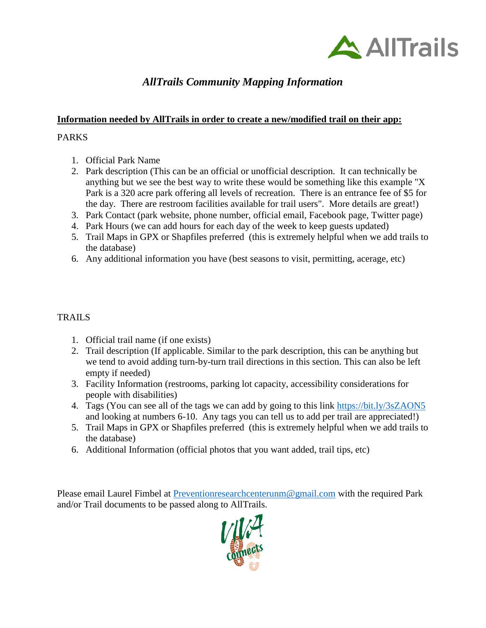

# *AllTrails Community Mapping Information*

# **Information needed by AllTrails in order to create a new/modified trail on their app:**

# PARKS

- 1. Official Park Name
- 2. Park description (This can be an official or unofficial description. It can technically be anything but we see the best way to write these would be something like this example "X Park is a 320 acre park offering all levels of recreation. There is an entrance fee of \$5 for the day. There are restroom facilities available for trail users". More details are great!)
- 3. Park Contact (park website, phone number, official email, Facebook page, Twitter page)
- 4. Park Hours (we can add hours for each day of the week to keep guests updated)
- 5. Trail Maps in GPX or Shapfiles preferred (this is extremely helpful when we add trails to the database)
- 6. Any additional information you have (best seasons to visit, permitting, acerage, etc)

# TRAILS

- 1. Official trail name (if one exists)
- 2. Trail description (If applicable. Similar to the park description, this can be anything but we tend to avoid adding turn-by-turn trail directions in this section. This can also be left empty if needed)
- 3. Facility Information (restrooms, parking lot capacity, accessibility considerations for people with disabilities)
- 4. Tags (You can see all of the tags we can add by going to this link [https://bit.ly/3sZAON5](https://urldefense.com/v3/__https:/bit.ly/3sZAON5__;!!KXH1hvEXyw!O91fr4RaBskaJcJTq4yd8AiS9MpvOidm_3GgcuSxZjHjJXeSS-XcPT8_cMoTMloSXQA$) and looking at numbers 6-10. Any tags you can tell us to add per trail are appreciated!)
- 5. Trail Maps in GPX or Shapfiles preferred (this is extremely helpful when we add trails to the database)
- 6. Additional Information (official photos that you want added, trail tips, etc)

Please email Laurel Fimbel at [Preventionresearchcenterunm@gmail.com](mailto:Preventionresearchcenterunm@gmail.com) with the required Park and/or Trail documents to be passed along to AllTrails.

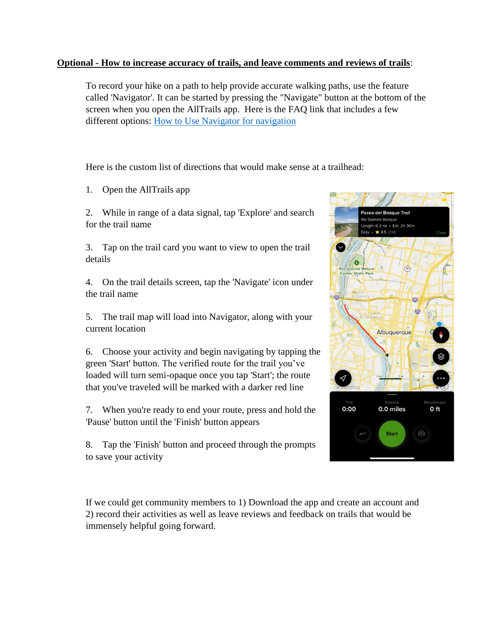### **Optional - How to increase accuracy of trails, and leave comments and reviews of trails**:

To record your hike on a path to help provide accurate walking paths, use the feature called 'Navigator'. It can be started by pressing the "Navigate" button at the bottom of the screen when you open the AllTrails app. Here is the FAQ link that includes a few different options: [How to Use Navigator for navigation](https://urldefense.com/v3/__https:/support.alltrails.com/hc/en-us/articles/360019245531-How-do-I-use-Navigator-for-navigation-__;!!KXH1hvEXyw!Is7TqUtll3F37HKnfE0muqwXb5_xEXyNuO1InPilALQJrmyfdqVgM-mAStba9SN8A_Q$)

Here is the custom list of directions that would make sense at a trailhead:

1. Open the AllTrails app

2. While in range of a data signal, tap 'Explore' and search for the trail name

3. Tap on the trail card you want to view to open the trail details

4. On the trail details screen, tap the 'Navigate' icon under the trail name

5. The trail map will load into Navigator, along with your current location

6. Choose your activity and begin navigating by tapping the green 'Start' button. The verified route for the trail you've loaded will turn semi-opaque once you tap 'Start'; the route that you've traveled will be marked with a darker red line

7. When you're ready to end your route, press and hold the 'Pause' button until the 'Finish' button appears

8. Tap the 'Finish' button and proceed through the prompts to save your activity



If we could get community members to 1) Download the app and create an account and 2) record their activities as well as leave reviews and feedback on trails that would be immensely helpful going forward.